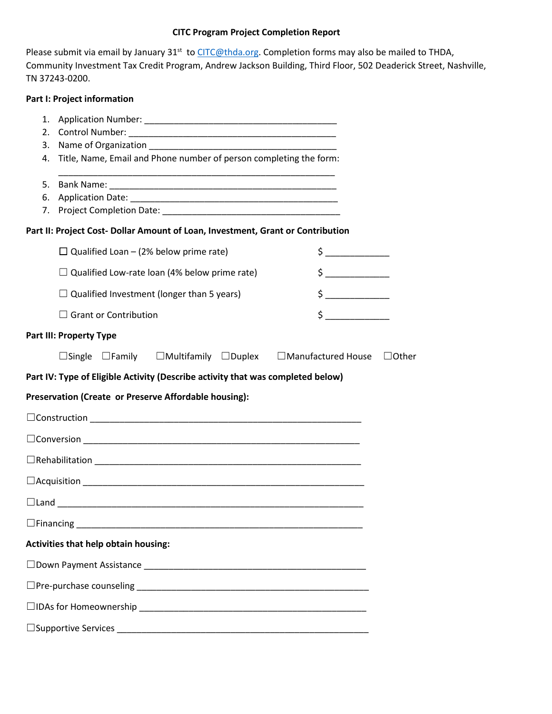# **CITC Program Project Completion Report**

Please submit via email by January 31<sup>st</sup> to *CITC@thda.org*. Completion forms may also be mailed to THDA, Community Investment Tax Credit Program, Andrew Jackson Building, Third Floor, 502 Deaderick Street, Nashville, TN 37243-0200.

## **Part I: Project information**

| 1. |                                                                                                                                                                                                                                                                                                                                                                                                                                                                                                                                                                                                             |              |  |  |  |
|----|-------------------------------------------------------------------------------------------------------------------------------------------------------------------------------------------------------------------------------------------------------------------------------------------------------------------------------------------------------------------------------------------------------------------------------------------------------------------------------------------------------------------------------------------------------------------------------------------------------------|--------------|--|--|--|
| 2. |                                                                                                                                                                                                                                                                                                                                                                                                                                                                                                                                                                                                             |              |  |  |  |
| 3. |                                                                                                                                                                                                                                                                                                                                                                                                                                                                                                                                                                                                             |              |  |  |  |
| 4. | Title, Name, Email and Phone number of person completing the form:                                                                                                                                                                                                                                                                                                                                                                                                                                                                                                                                          |              |  |  |  |
| 5. |                                                                                                                                                                                                                                                                                                                                                                                                                                                                                                                                                                                                             |              |  |  |  |
| 6. |                                                                                                                                                                                                                                                                                                                                                                                                                                                                                                                                                                                                             |              |  |  |  |
| 7. |                                                                                                                                                                                                                                                                                                                                                                                                                                                                                                                                                                                                             |              |  |  |  |
|    | Part II: Project Cost- Dollar Amount of Loan, Investment, Grant or Contribution                                                                                                                                                                                                                                                                                                                                                                                                                                                                                                                             |              |  |  |  |
|    | $\Box$ Qualified Loan – (2% below prime rate)<br>$\begin{picture}(20,10) \put(0,0){\line(1,0){10}} \put(15,0){\line(1,0){10}} \put(15,0){\line(1,0){10}} \put(15,0){\line(1,0){10}} \put(15,0){\line(1,0){10}} \put(15,0){\line(1,0){10}} \put(15,0){\line(1,0){10}} \put(15,0){\line(1,0){10}} \put(15,0){\line(1,0){10}} \put(15,0){\line(1,0){10}} \put(15,0){\line(1,0){10}} \put(15,0){\line(1$                                                                                                                                                                                                        |              |  |  |  |
|    | $\frac{1}{2}$<br>$\Box$ Qualified Low-rate loan (4% below prime rate)                                                                                                                                                                                                                                                                                                                                                                                                                                                                                                                                       |              |  |  |  |
|    | $\begin{array}{c} \n \uparrow \text{---} \quad \text{---} \quad \text{---} \quad \text{---} \quad \text{---} \quad \text{---} \quad \text{---} \quad \text{---} \quad \text{---} \quad \text{---} \quad \text{---} \quad \text{---} \quad \text{---} \quad \text{---} \quad \text{---} \quad \text{---} \quad \text{---} \quad \text{---} \quad \text{---} \quad \text{---} \quad \text{---} \quad \text{---} \quad \text{---} \quad \text{---} \quad \text{---} \quad \text{---} \quad \text{---} \quad \text{---} \quad \text{---} \quad \text{---}$<br>$\Box$ Qualified Investment (longer than 5 years) |              |  |  |  |
|    | $\begin{picture}(20,20) \put(0,0){\line(1,0){10}} \put(15,0){\line(1,0){10}} \put(15,0){\line(1,0){10}} \put(15,0){\line(1,0){10}} \put(15,0){\line(1,0){10}} \put(15,0){\line(1,0){10}} \put(15,0){\line(1,0){10}} \put(15,0){\line(1,0){10}} \put(15,0){\line(1,0){10}} \put(15,0){\line(1,0){10}} \put(15,0){\line(1,0){10}} \put(15,0){\line(1$<br>$\Box$ Grant or Contribution                                                                                                                                                                                                                         |              |  |  |  |
|    | <b>Part III: Property Type</b>                                                                                                                                                                                                                                                                                                                                                                                                                                                                                                                                                                              |              |  |  |  |
|    | $\Box$ Single $\Box$ Family $\Box$ Multifamily $\Box$ Duplex $\Box$ Manufactured House                                                                                                                                                                                                                                                                                                                                                                                                                                                                                                                      | $\Box$ Other |  |  |  |
|    | Part IV: Type of Eligible Activity (Describe activity that was completed below)                                                                                                                                                                                                                                                                                                                                                                                                                                                                                                                             |              |  |  |  |
|    | Preservation (Create or Preserve Affordable housing):                                                                                                                                                                                                                                                                                                                                                                                                                                                                                                                                                       |              |  |  |  |
|    |                                                                                                                                                                                                                                                                                                                                                                                                                                                                                                                                                                                                             |              |  |  |  |
|    |                                                                                                                                                                                                                                                                                                                                                                                                                                                                                                                                                                                                             |              |  |  |  |
|    |                                                                                                                                                                                                                                                                                                                                                                                                                                                                                                                                                                                                             |              |  |  |  |
|    |                                                                                                                                                                                                                                                                                                                                                                                                                                                                                                                                                                                                             |              |  |  |  |
|    |                                                                                                                                                                                                                                                                                                                                                                                                                                                                                                                                                                                                             |              |  |  |  |
|    |                                                                                                                                                                                                                                                                                                                                                                                                                                                                                                                                                                                                             |              |  |  |  |
|    | <b>Activities that help obtain housing:</b>                                                                                                                                                                                                                                                                                                                                                                                                                                                                                                                                                                 |              |  |  |  |
|    |                                                                                                                                                                                                                                                                                                                                                                                                                                                                                                                                                                                                             |              |  |  |  |
|    |                                                                                                                                                                                                                                                                                                                                                                                                                                                                                                                                                                                                             |              |  |  |  |
|    |                                                                                                                                                                                                                                                                                                                                                                                                                                                                                                                                                                                                             |              |  |  |  |
|    |                                                                                                                                                                                                                                                                                                                                                                                                                                                                                                                                                                                                             |              |  |  |  |